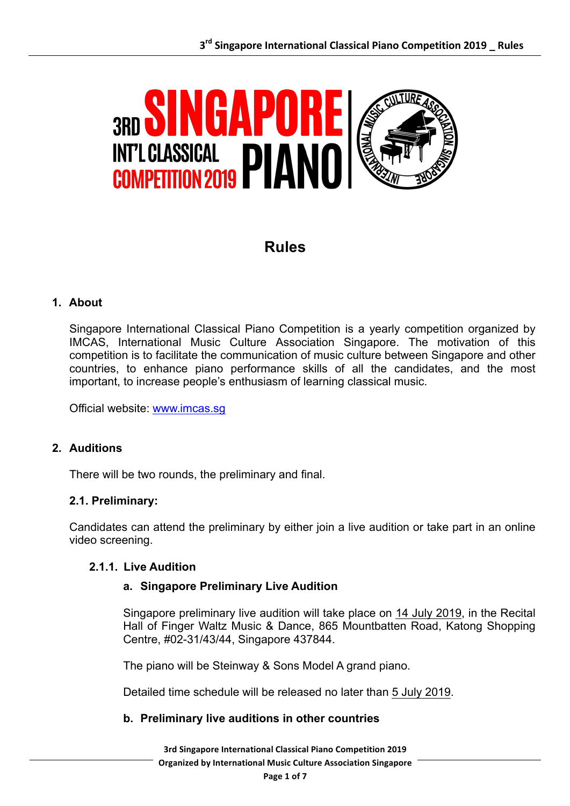

# **Rules**

# **1. About**

Singapore International Classical Piano Competition is a yearly competition organized by IMCAS, International Music Culture Association Singapore. The motivation of this competition is to facilitate the communication of music culture between Singapore and other countries, to enhance piano performance skills of all the candidates, and the most important, to increase people's enthusiasm of learning classical music.

Official website: www.imcas.sg

# **2. Auditions**

There will be two rounds, the preliminary and final.

### **2.1. Preliminary:**

Candidates can attend the preliminary by either join a live audition or take part in an online video screening.

#### **2.1.1. Live Audition**

#### **a. Singapore Preliminary Live Audition**

Singapore preliminary live audition will take place on 14 July 2019, in the Recital Hall of Finger Waltz Music & Dance, 865 Mountbatten Road, Katong Shopping Centre, #02-31/43/44, Singapore 437844.

The piano will be Steinway & Sons Model A grand piano.

Detailed time schedule will be released no later than 5 July 2019.

#### **b. Preliminary live auditions in other countries**

**3rd Singapore International Classical Piano Competition 2019 Organized by International Music Culture Association Singapore**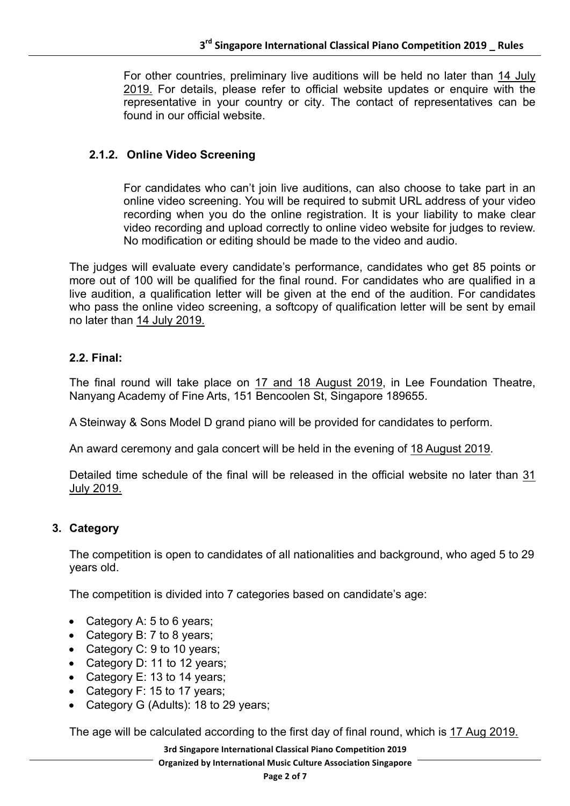For other countries, preliminary live auditions will be held no later than 14 July 2019. For details, please refer to official website updates or enquire with the representative in your country or city. The contact of representatives can be found in our official website.

# **2.1.2. Online Video Screening**

For candidates who can't join live auditions, can also choose to take part in an online video screening. You will be required to submit URL address of your video recording when you do the online registration. It is your liability to make clear video recording and upload correctly to online video website for judges to review. No modification or editing should be made to the video and audio.

The judges will evaluate every candidate's performance, candidates who get 85 points or more out of 100 will be qualified for the final round. For candidates who are qualified in a live audition, a qualification letter will be given at the end of the audition. For candidates who pass the online video screening, a softcopy of qualification letter will be sent by email no later than 14 July 2019.

# **2.2. Final:**

The final round will take place on 17 and 18 August 2019, in Lee Foundation Theatre, Nanyang Academy of Fine Arts, 151 Bencoolen St, Singapore 189655.

A Steinway & Sons Model D grand piano will be provided for candidates to perform.

An award ceremony and gala concert will be held in the evening of 18 August 2019.

Detailed time schedule of the final will be released in the official website no later than 31 July 2019.

# **3. Category**

The competition is open to candidates of all nationalities and background, who aged 5 to 29 years old.

The competition is divided into 7 categories based on candidate's age:

- Category A: 5 to 6 years;
- Category B: 7 to 8 years;
- Category C: 9 to 10 years;
- Category D: 11 to 12 years;
- Category E: 13 to 14 years;
- Category F: 15 to 17 years;
- Category G (Adults): 18 to 29 years;

The age will be calculated according to the first day of final round, which is 17 Aug 2019.

**3rd Singapore International Classical Piano Competition 2019 Organized by International Music Culture Association Singapore**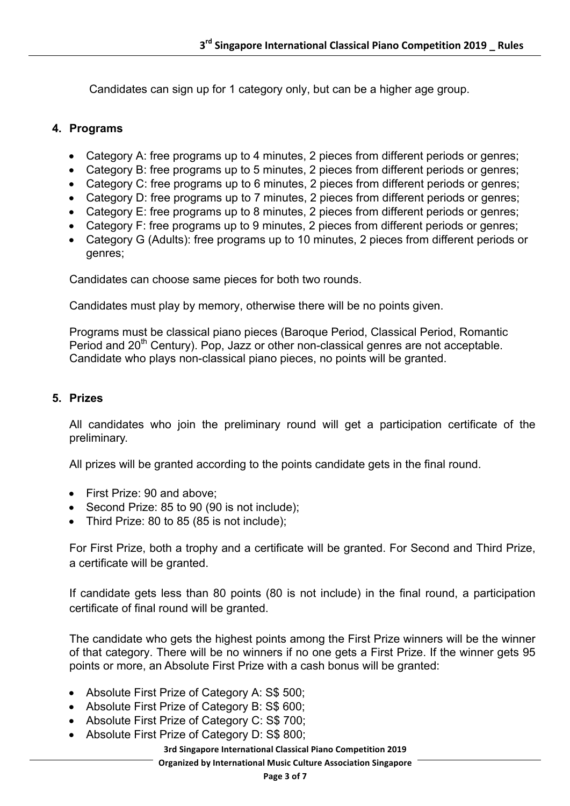Candidates can sign up for 1 category only, but can be a higher age group.

# **4. Programs**

- Category A: free programs up to 4 minutes, 2 pieces from different periods or genres;
- Category B: free programs up to 5 minutes, 2 pieces from different periods or genres;
- Category C: free programs up to 6 minutes, 2 pieces from different periods or genres;
- Category D: free programs up to 7 minutes, 2 pieces from different periods or genres;
- Category E: free programs up to 8 minutes, 2 pieces from different periods or genres;
- Category F: free programs up to 9 minutes, 2 pieces from different periods or genres;
- Category G (Adults): free programs up to 10 minutes, 2 pieces from different periods or genres;

Candidates can choose same pieces for both two rounds.

Candidates must play by memory, otherwise there will be no points given.

Programs must be classical piano pieces (Baroque Period, Classical Period, Romantic Period and 20<sup>th</sup> Century). Pop, Jazz or other non-classical genres are not acceptable. Candidate who plays non-classical piano pieces, no points will be granted.

#### **5. Prizes**

All candidates who join the preliminary round will get a participation certificate of the preliminary.

All prizes will be granted according to the points candidate gets in the final round.

- First Prize: 90 and above:
- Second Prize: 85 to 90 (90 is not include);
- Third Prize: 80 to 85 (85 is not include);

For First Prize, both a trophy and a certificate will be granted. For Second and Third Prize, a certificate will be granted.

If candidate gets less than 80 points (80 is not include) in the final round, a participation certificate of final round will be granted.

The candidate who gets the highest points among the First Prize winners will be the winner of that category. There will be no winners if no one gets a First Prize. If the winner gets 95 points or more, an Absolute First Prize with a cash bonus will be granted:

- Absolute First Prize of Category A: S\$ 500;
- Absolute First Prize of Category B: S\$ 600;
- Absolute First Prize of Category C: S\$ 700;
- Absolute First Prize of Category D: S\$ 800;

**3rd Singapore International Classical Piano Competition 2019**

**Organized by International Music Culture Association Singapore**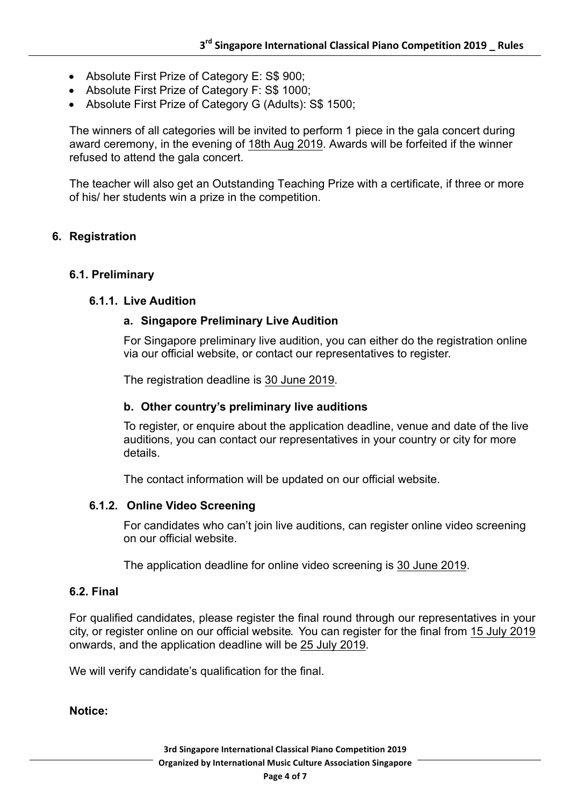- Absolute First Prize of Category E: S\$ 900;
- Absolute First Prize of Category F: S\$ 1000;
- Absolute First Prize of Category G (Adults): S\$ 1500;

The winners of all categories will be invited to perform 1 piece in the gala concert during award ceremony, in the evening of 18th Aug 2019. Awards will be forfeited if the winner refused to attend the gala concert.

The teacher will also get an Outstanding Teaching Prize with a certificate, if three or more of his/ her students win a prize in the competition.

# **6. Registration**

## **6.1. Preliminary**

## **6.1.1. Live Audition**

# **a. Singapore Preliminary Live Audition**

For Singapore preliminary live audition, you can either do the registration online via our official website, or contact our representatives to register.

The registration deadline is 30 June 2019.

## **b. Other country's preliminary live auditions**

To register, or enquire about the application deadline, venue and date of the live auditions, you can contact our representatives in your country or city for more details.

The contact information will be updated on our official website.

#### **6.1.2. Online Video Screening**

For candidates who can't join live auditions, can register online video screening on our official website.

The application deadline for online video screening is 30 June 2019.

## **6.2. Final**

For qualified candidates, please register the final round through our representatives in your city, or register online on our official website. You can register for the final from 15 July 2019 onwards, and the application deadline will be 25 July 2019.

We will verify candidate's qualification for the final.

**Notice:**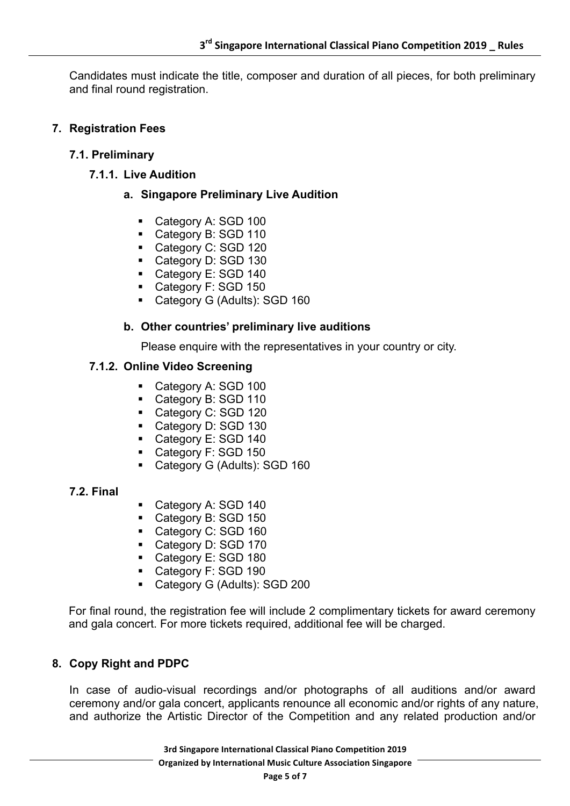Candidates must indicate the title, composer and duration of all pieces, for both preliminary and final round registration.

# **7. Registration Fees**

## **7.1. Preliminary**

**7.1.1. Live Audition**

# **a. Singapore Preliminary Live Audition**

- Category A: SGD 100
- Category B: SGD 110
- Category C: SGD 120
- Category D: SGD 130
- Category E: SGD 140
- Category F: SGD 150
- Category G (Adults): SGD 160

## **b. Other countries' preliminary live auditions**

Please enquire with the representatives in your country or city.

#### **7.1.2. Online Video Screening**

- Category A: SGD 100
- Category B: SGD 110
- Category C: SGD 120
- Category D: SGD 130
- Category E: SGD 140
- Category F: SGD 150
- Category G (Adults): SGD 160

#### **7.2. Final**

- Category A: SGD 140
- § Category B: SGD 150
- Category C: SGD 160
- Category D: SGD 170
- Category E: SGD 180
- Category F: SGD 190
- Category G (Adults): SGD 200

For final round, the registration fee will include 2 complimentary tickets for award ceremony and gala concert. For more tickets required, additional fee will be charged.

#### **8. Copy Right and PDPC**

In case of audio-visual recordings and/or photographs of all auditions and/or award ceremony and/or gala concert, applicants renounce all economic and/or rights of any nature, and authorize the Artistic Director of the Competition and any related production and/or

> **3rd Singapore International Classical Piano Competition 2019 Organized by International Music Culture Association Singapore**